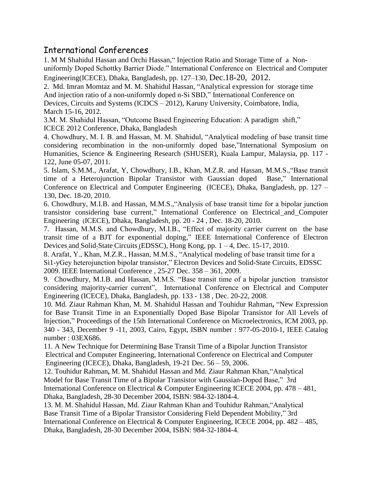## International Conferences

1. M M Shahidul Hassan and Orchi Hassan," Injection Ratio and Storage Time of a Nonuniformly Doped Schottky Barrier Diode." International Conference on Electrical and Computer Engineering(ICECE), Dhaka, Bangladesh, pp. 127–130, Dec.18-20, 2012.

2. Md. Imran Momtaz and M. M. Shahidul Hassan, "Analytical expression for storage time And injection ratio of a non-uniformly doped n-Si SBD," International Conference on Devices, Circuits and Systems (ICDCS – 2012), Karuny University, Coimbatore, India, March 15-16, 2012.

3.M. M. Shahidul Hassan, "Outcome Based Engineering Education: A paradigmshift," ICECE 2012 Conference, Dhaka, Bangladesh

4. Chowdhury, M. I. B. and Hassan, M. M. Shahidul, "Analytical modeling of base transit time considering recombination in the non-uniformly doped base,"International Symposium on Humanities, Science & Engineering Research (SHUSER), Kuala Lampur, Malaysia, pp. 117 - 122, June 05-07, 2011.

5. Islam, S.M.M., Arafat, Y, Chowdhury, I.B., Khan, M.Z.R. and Hassan, M.M.S.,"Base transit time of a Heterojunction Bipolar Transistor with Gaussian doped Base," International Conference on Electrical and Computer Engineering (ICECE), Dhaka, Bangladesh, pp. 127 – 130, Dec. 18-20, 2010.

6. Chowdhury, M.I.B. and Hassan, M.M.S.,"Analysis of base transit time for a bipolar junction transistor considering base current," International Conference on Electrical and [Computer](http://ieeexplore.ieee.org/xpl/mostRecentIssue.jsp?punumber=5686261) Engineering ([ICECE\), Dhaka, Bangladesh, p](http://ieeexplore.ieee.org/xpl/mostRecentIssue.jsp?punumber=5686261)p. 20 - 24 , Dec. 18-20, 2010.

7. Hassan, M.M.S. and Chowdhury, M.I.B., "Effect of majority carrier current on the base transit time of a BJT for exponential doping," IEEE International Conference of [Electron](http://ieeexplore.ieee.org/xpl/mostRecentIssue.jsp?punumber=5706405) Devices and Solid-State Circuits ([EDSSC\), Hong Kong, p](http://ieeexplore.ieee.org/xpl/mostRecentIssue.jsp?punumber=5706405)p. 1 – 4, Dec. 15-17, 2010.

8. Arafat, Y., Khan, M.Z.R., Hassan, M.M.S., "Analytical modeling of base transit time for a Si1-yGey heterojunction bipolar transistor," [Electron Devices and Solid-State Circuits, EDSSC](http://ieeexplore.ieee.org/xpl/mostRecentIssue.jsp?punumber=5374436)  [2009. IEEE International Conference ,](http://ieeexplore.ieee.org/xpl/mostRecentIssue.jsp?punumber=5374436) 25-27 Dec. 358 – 361, 2009.

9. Chowdhury, M.I.B. and Hassan, M.M.S. "Base transit time of a bipolar junction transistor considering majority-carrier current", International Conference on Electrical and Computer Engineering (ICECE), Dhaka, Bangladesh, pp. 133 - 138 , Dec. 20-22, 2008.

10. Md. Ziaur Rahman Khan, M. M. Shahidul Hassan and Touhidur Rahman**,** "New Expression for Base Transit Time in an Exponentially Doped Base Bipolar Transistor for All Levels of Injection," Proceedings of the 15th International Conference on Microelectronics, ICM 2003, pp. 340 - 343, December 9 -11, 2003, Cairo, Egypt, ISBN number : 977-05-2010-1, IEEE Catalog number : 03EX686.

11. A New Technique for Determining Base Transit Time of a Bipolar Junction Transistor [Electrical and Computer Engineering, International Conference on](http://ieeexplore.ieee.org/xpl/mostRecentIssue.jsp?punumber=4178390) Electrical and Computer Engineering (ICECE), Dhaka, Bangladesh, 19-21 Dec. 56 – 59, 2006.

12. Touhidur Rahman**,** M. M. Shahidul Hassan and Md. Ziaur Rahman Khan,"Analytical Model for Base Transit Time of a Bipolar Transistor with Gaussian-Doped Base," 3rd International Conference on Electrical & Computer Engineering ICECE 2004, pp. 478 – 481, Dhaka, Bangladesh, 28-30 December 2004, ISBN: 984-32-1804-4.

13. M. M. Shahidul Hassan, Md. Ziaur Rahman Khan and Touhidur Rahman,"Analytical Base Transit Time of a Bipolar Transistor Considering Field Dependent Mobility," 3rd International Conference on Electrical & Computer Engineering, ICECE 2004, pp. 482 – 485, Dhaka, Bangladesh, 28-30 December 2004, ISBN: 984-32-1804-4.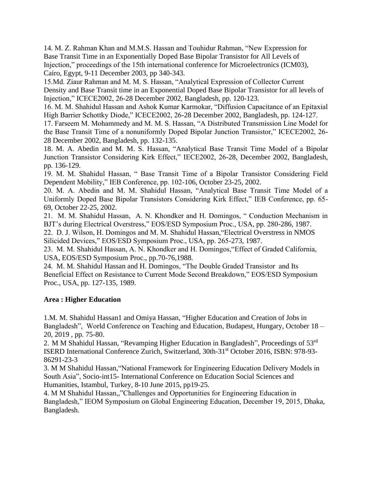14. M. Z. Rahman Khan and M.M.S. Hassan and Touhidur Rahman, "New Expression for Base Transit Time in an Exponentially Doped Base Bipolar Transistor for All Levels of Injection," proceedings of the 15th international conference for Microelectronics (ICM03), Cairo, Egypt, 9-11 December 2003, pp 340-343.

15.Md. Ziaur Rahman and M. M. S. Hassan, "Analytical Expression of Collector Current Density and Base Transit time in an Exponential Doped Base Bipolar Transistor for all levels of Injection," ICECE2002, 26-28 December 2002, Bangladesh, pp. 120-123.

16. M. M. Shahidul Hassan and Ashok Kumar Karmokar, "Diffusion Capacitance of an Epitaxial High Barrier Schottky Diode," ICECE2002, 26-28 December 2002, Bangladesh, pp. 124-127.

17. Farseem M. Mohammedy and M. M. S. Hassan, "A Distributed Transmission Line Model for the Base Transit Time of a nonuniformly Doped Bipolar Junction Transistor," ICECE2002, 26- 28 December 2002, Bangladesh, pp. 132-135.

18. M. A. Abedin and M. M. S. Hassan, "Analytical Base Transit Time Model of a Bipolar Junction Transistor Considering Kirk Effect," IECE2002, 26-28, December 2002, Bangladesh, pp. 136-129.

19. M. M. Shahidul Hassan, " Base Transit Time of a Bipolar Transistor Considering Field Dependent Mobility," IEB Conference, pp. 102-106, October 23-25, 2002.

20. M. A. Abedin and M. M. Shahidul Hassan, "Analytical Base Transit Time Model of a Uniformly Doped Base Bipolar Transistors Considering Kirk Effect," IEB Conference, pp. 65- 69, October 22-25, 2002.

21. M. M. Shahidul Hassan, A. N. Khondker and H. Domingos, " Conduction Mechanism in BJT's during Electrical Overstress," EOS/ESD Symposium Proc., USA, pp. 280-286, 1987.

22. D. J. Wilson, H. Domingos and M. M. Shahidul Hassan,"Electrical Overstress in NMOS Silicided Devices," EOS/ESD Symposium Proc., USA, pp. 265-273, 1987.

23. M. M. Shahidul Hassan, A. N. Khondker and H. Domingos,"Effect of Graded California, USA, EOS/ESD Symposium Proc., pp.70-76,1988.

24. M. M. Shahidul Hassan and H. Domingos, "The Double Graded Transistor and Its Beneficial Effect on Resistance to Current Mode Second Breakdown," EOS/ESD Symposium Proc., USA, pp. 127-135, 1989.

## **Area : Higher Education**

1.M. M. Shahidul Hassan1 and Omiya Hassan, "Higher Education and Creation of Jobs in Bangladesh", World Conference on Teaching and Education, Budapest, Hungary, October 18 – 20, 2019 , pp. 75-80.

2. M M Shahidul Hassan, "Revamping Higher Education in Bangladesh", Proceedings of 53rd ISERD International Conference Zurich, Switzerland, 30th-31st October 2016, ISBN: 978-93- 86291-23-3

3. M M Shahidul Hassan,"National Framework for Engineering Education Delivery Models in South Asia", Socio-int15- International Conference on Education Social Sciences and Humanities, Istambul, Turkey, 8-10 June 2015, pp19-25.

4. M M Shahidul Hassan,,"Challenges and Opportunities for Engineering Education in Bangladesh," IEOM Symposium on Global Engineering Education, December 19, 2015, Dhaka, Bangladesh.